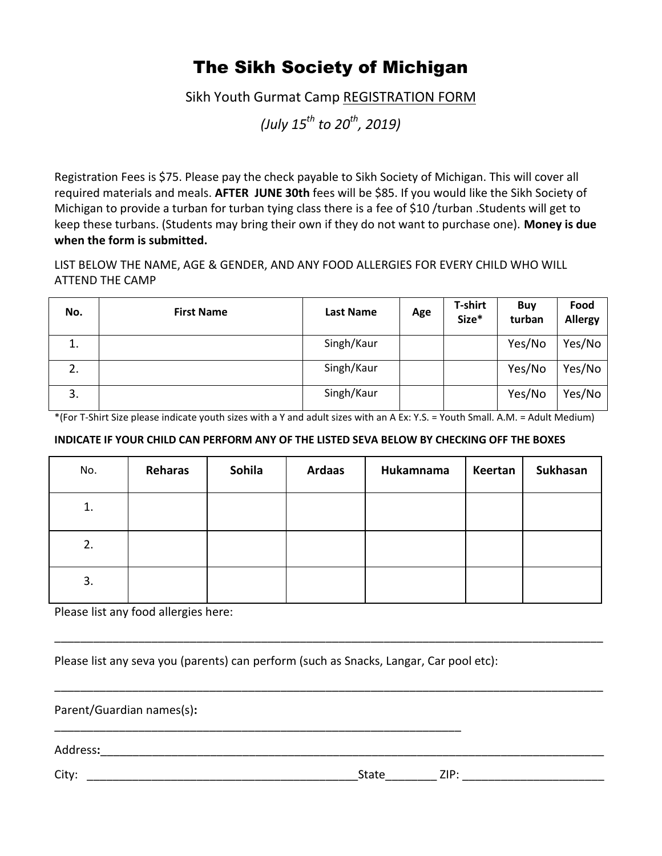## The Sikh Society of Michigan

Sikh Youth Gurmat Camp REGISTRATION FORM

*(July 15th to 20th , 2019)*

Registration Fees is \$75. Please pay the check payable to Sikh Society of Michigan. This will cover all required materials and meals. **AFTER JUNE 30th** fees will be \$85. If you would like the Sikh Society of Michigan to provide a turban for turban tying class there is a fee of \$10 /turban .Students will get to keep these turbans. (Students may bring their own if they do not want to purchase one). **Money is due when the form is submitted.** 

LIST BELOW THE NAME, AGE & GENDER, AND ANY FOOD ALLERGIES FOR EVERY CHILD WHO WILL ATTEND THE CAMP

| No. | <b>First Name</b> | <b>Last Name</b> | Age | <b>T-shirt</b><br>Size* | <b>Buy</b><br>turban | Food<br><b>Allergy</b> |
|-----|-------------------|------------------|-----|-------------------------|----------------------|------------------------|
| 1.  |                   | Singh/Kaur       |     |                         | Yes/No               | Yes/No                 |
| 2.  |                   | Singh/Kaur       |     |                         | Yes/No               | Yes/No                 |
| 3.  |                   | Singh/Kaur       |     |                         | Yes/No               | Yes/No                 |

\*(For T-Shirt Size please indicate youth sizes with a Y and adult sizes with an A Ex: Y.S. = Youth Small. A.M. = Adult Medium)

## **INDICATE IF YOUR CHILD CAN PERFORM ANY OF THE LISTED SEVA BELOW BY CHECKING OFF THE BOXES**

| No. | Reharas | Sohila | <b>Ardaas</b> | Hukamnama | Keertan | Sukhasan |
|-----|---------|--------|---------------|-----------|---------|----------|
| 1.  |         |        |               |           |         |          |
| 2.  |         |        |               |           |         |          |
| 3.  |         |        |               |           |         |          |

\_\_\_\_\_\_\_\_\_\_\_\_\_\_\_\_\_\_\_\_\_\_\_\_\_\_\_\_\_\_\_\_\_\_\_\_\_\_\_\_\_\_\_\_\_\_\_\_\_\_\_\_\_\_\_\_\_\_\_\_\_\_\_\_\_\_\_\_\_\_\_\_\_\_\_\_\_\_\_\_\_\_\_\_\_

\_\_\_\_\_\_\_\_\_\_\_\_\_\_\_\_\_\_\_\_\_\_\_\_\_\_\_\_\_\_\_\_\_\_\_\_\_\_\_\_\_\_\_\_\_\_\_\_\_\_\_\_\_\_\_\_\_\_\_\_\_\_\_\_\_\_\_\_\_\_\_\_\_\_\_\_\_\_\_\_\_\_\_\_\_

Please list any food allergies here:

Please list any seva you (parents) can perform (such as Snacks, Langar, Car pool etc):

\_\_\_\_\_\_\_\_\_\_\_\_\_\_\_\_\_\_\_\_\_\_\_\_\_\_\_\_\_\_\_\_\_\_\_\_\_\_\_\_\_\_\_\_\_\_\_\_\_\_\_\_\_\_\_\_\_\_\_\_\_\_\_

Parent/Guardian names(s)**:** 

Address**:**\_\_\_\_\_\_\_\_\_\_\_\_\_\_\_\_\_\_\_\_\_\_\_\_\_\_\_\_\_\_\_\_\_\_\_\_\_\_\_\_\_\_\_\_\_\_\_\_\_\_\_\_\_\_\_\_\_\_\_\_\_\_\_\_\_\_\_\_\_\_\_\_\_\_\_\_\_\_